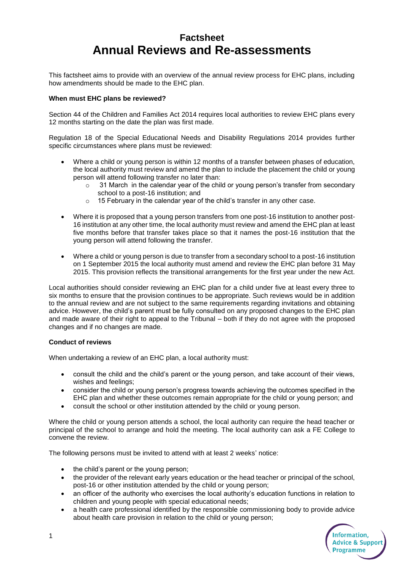# **Factsheet Annual Reviews and Re-assessments**

This factsheet aims to provide with an overview of the annual review process for EHC plans, including how amendments should be made to the EHC plan.

## **When must EHC plans be reviewed?**

Section 44 of the Children and Families Act 2014 requires local authorities to review EHC plans every 12 months starting on the date the plan was first made.

Regulation 18 of the Special Educational Needs and Disability Regulations 2014 provides further specific circumstances where plans must be reviewed:

- Where a child or young person is within 12 months of a transfer between phases of education, the local authority must review and amend the plan to include the placement the child or young person will attend following transfer no later than:
	- $\circ$  31 March in the calendar year of the child or young person's transfer from secondary school to a post-16 institution; and
	- o 15 February in the calendar year of the child's transfer in any other case.
- Where it is proposed that a young person transfers from one post-16 institution to another post-16 institution at any other time, the local authority must review and amend the EHC plan at least five months before that transfer takes place so that it names the post-16 institution that the young person will attend following the transfer.
- Where a child or young person is due to transfer from a secondary school to a post-16 institution on 1 September 2015 the local authority must amend and review the EHC plan before 31 May 2015. This provision reflects the transitional arrangements for the first year under the new Act.

Local authorities should consider reviewing an EHC plan for a child under five at least every three to six months to ensure that the provision continues to be appropriate. Such reviews would be in addition to the annual review and are not subject to the same requirements regarding invitations and obtaining advice. However, the child's parent must be fully consulted on any proposed changes to the EHC plan and made aware of their right to appeal to the Tribunal – both if they do not agree with the proposed changes and if no changes are made.

#### **Conduct of reviews**

When undertaking a review of an EHC plan, a local authority must:

- consult the child and the child's parent or the young person, and take account of their views, wishes and feelings;
- consider the child or young person's progress towards achieving the outcomes specified in the EHC plan and whether these outcomes remain appropriate for the child or young person; and
- consult the school or other institution attended by the child or young person.

Where the child or young person attends a school, the local authority can require the head teacher or principal of the school to arrange and hold the meeting. The local authority can ask a FE College to convene the review.

The following persons must be invited to attend with at least 2 weeks' notice:

- the child's parent or the young person;
- the provider of the relevant early years education or the head teacher or principal of the school, post-16 or other institution attended by the child or young person;
- an officer of the authority who exercises the local authority's education functions in relation to children and young people with special educational needs;
- a health care professional identified by the responsible commissioning body to provide advice about health care provision in relation to the child or young person;

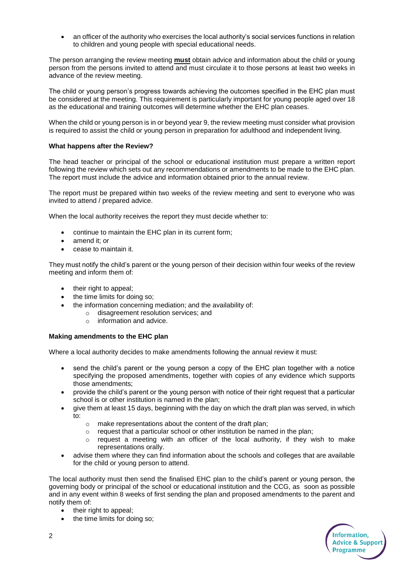an officer of the authority who exercises the local authority's social services functions in relation to children and young people with special educational needs.

The person arranging the review meeting **must** obtain advice and information about the child or young person from the persons invited to attend and must circulate it to those persons at least two weeks in advance of the review meeting.

The child or young person's progress towards achieving the outcomes specified in the EHC plan must be considered at the meeting. This requirement is particularly important for young people aged over 18 as the educational and training outcomes will determine whether the EHC plan ceases.

When the child or young person is in or beyond year 9, the review meeting must consider what provision is required to assist the child or young person in preparation for adulthood and independent living.

## **What happens after the Review?**

The head teacher or principal of the school or educational institution must prepare a written report following the review which sets out any recommendations or amendments to be made to the EHC plan. The report must include the advice and information obtained prior to the annual review.

The report must be prepared within two weeks of the review meeting and sent to everyone who was invited to attend / prepared advice.

When the local authority receives the report they must decide whether to:

- continue to maintain the EHC plan in its current form;
- amend it; or
- cease to maintain it.

They must notify the child's parent or the young person of their decision within four weeks of the review meeting and inform them of:

- their right to appeal;
- the time limits for doing so:
- the information concerning mediation; and the availability of:
	- o disagreement resolution services; and
	- o information and advice.

#### **Making amendments to the EHC plan**

Where a local authority decides to make amendments following the annual review it must:

- send the child's parent or the young person a copy of the EHC plan together with a notice specifying the proposed amendments, together with copies of any evidence which supports those amendments;
- provide the child's parent or the young person with notice of their right request that a particular school is or other institution is named in the plan;
- give them at least 15 days, beginning with the day on which the draft plan was served, in which to:
	- $\circ$  make representations about the content of the draft plan:
	- o request that a particular school or other institution be named in the plan;
	- $\circ$  request a meeting with an officer of the local authority, if they wish to make representations orally.
- advise them where they can find information about the schools and colleges that are available for the child or young person to attend.

The local authority must then send the finalised EHC plan to the child's parent or young person, the governing body or principal of the school or educational institution and the CCG, as soon as possible and in any event within 8 weeks of first sending the plan and proposed amendments to the parent and notify them of:

- their right to appeal;
- the time limits for doing so;